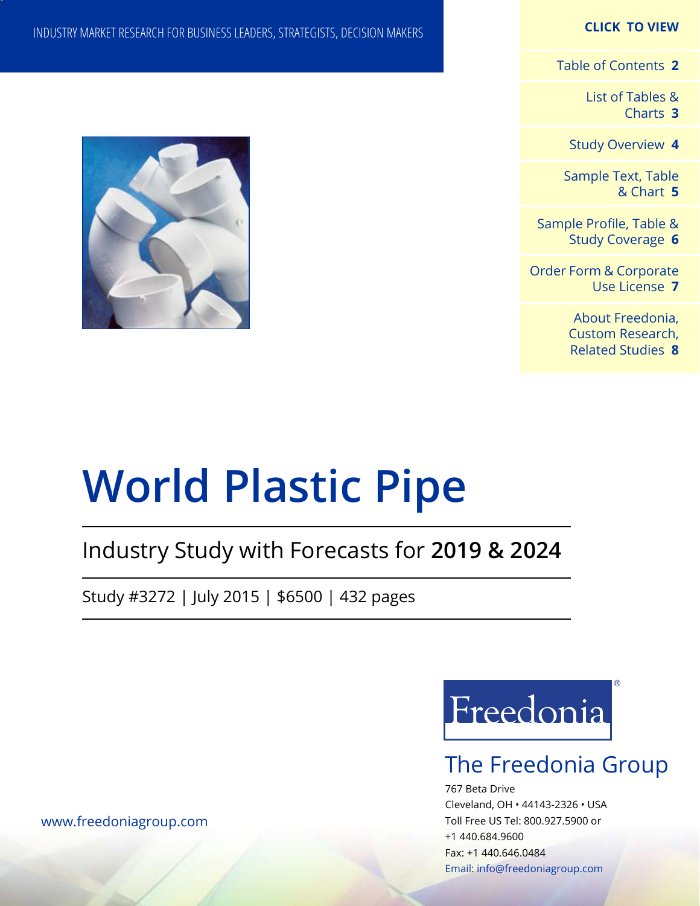### **CLICK TO VIEW**

[Table of Contents](#page-1-0) **2**

[List of Tables &](#page-2-0) [Charts](#page-2-0) **3**

[Study Overview](#page-3-0) **4**

[Sample Text, Table](#page-4-0) [& Chart](#page-4-0) **5**

[Sample Profile, Table &](#page-5-0) [Study Coverage](#page-5-0) **6**

[Order Form & Corporate](#page-6-0) [Use License](#page-6-0) **7**

> [About Freedonia,](#page-7-0) [Custom Research,](#page-7-0)  [Related Studies](#page-7-0) **8**

### INDUSTRY MARKET RESEARCH FOR BUSINESS LEADERS, STRATEGISTS, DECISION MAKERS



# **World Plastic Pipe**

## Industry Study with Forecasts for **2019 & 2024**

Study #3272 | July 2015 | \$6500 | 432 pages



## The Freedonia Group

767 Beta Drive Cleveland, OH • 44143-2326 • USA Toll Free US Tel: 800.927.5900 or +1 440.684.9600 Fax: +1 440.646.0484 Email: [info@freedoniagroup.com](mailto:info@freedoniagroup.com)

[www.freedoniagroup.com](http://www.freedoniagroup.com/Home.aspx?ReferrerId=FM-Bro)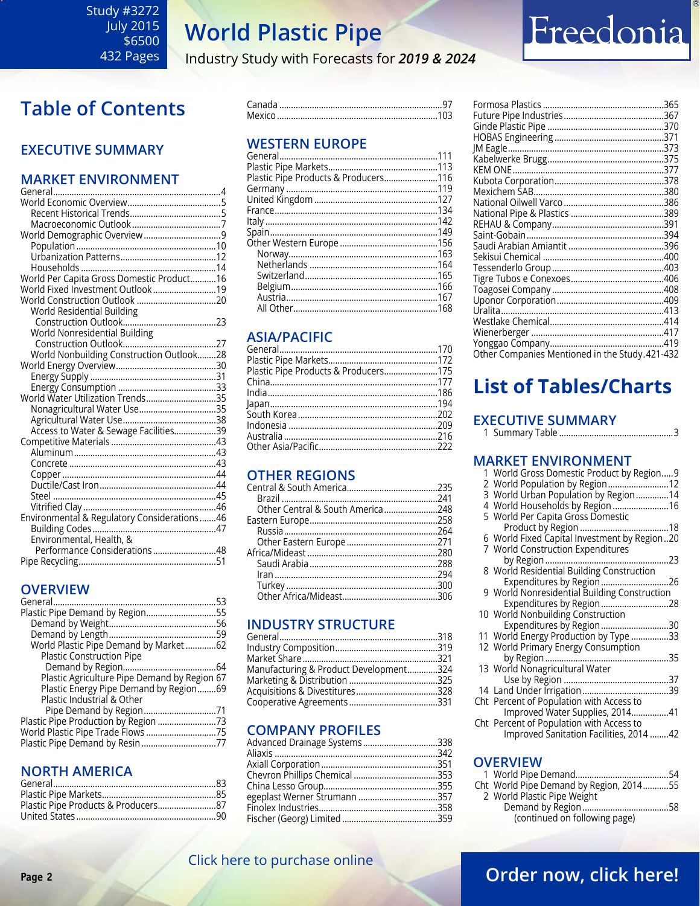Industry Study with Forecasts for *2019 & 2024*

## Freedonia

## <span id="page-1-0"></span>**Table of Contents**

### **Executive Summary**

### **Market EnvironmenT**

|                                             | 4 |
|---------------------------------------------|---|
|                                             |   |
|                                             |   |
|                                             |   |
|                                             |   |
|                                             |   |
|                                             |   |
|                                             |   |
| World Per Capita Gross Domestic Product16   |   |
| World Fixed Investment Outlook 19           |   |
|                                             |   |
| World Residential Building                  |   |
|                                             |   |
| <b>World Nonresidential Building</b>        |   |
|                                             |   |
| World Nonbuilding Construction Outlook28    |   |
|                                             |   |
|                                             |   |
|                                             |   |
| World Water Utilization Trends35            |   |
| Nonagricultural Water Use35                 |   |
|                                             |   |
| Access to Water & Sewage Facilities39       |   |
|                                             |   |
|                                             |   |
|                                             |   |
|                                             |   |
|                                             |   |
| Steel                                       |   |
|                                             |   |
| Environmental & Regulatory Considerations46 |   |
|                                             |   |
| Environmental, Health, &                    |   |
| Performance Considerations 48               |   |
|                                             |   |

### **OVERVIEW**

| Plastic Pipe Demand by Region55              |  |
|----------------------------------------------|--|
|                                              |  |
|                                              |  |
| World Plastic Pipe Demand by Market 62       |  |
| <b>Plastic Construction Pipe</b>             |  |
|                                              |  |
| Plastic Agriculture Pipe Demand by Region 67 |  |
| Plastic Energy Pipe Demand by Region69       |  |
| Plastic Industrial & Other                   |  |
|                                              |  |
|                                              |  |
|                                              |  |
|                                              |  |
|                                              |  |

### **NORTH AMERICA**

### **WESTERN EUROPE**

| Plastic Pipe Products & Producers116 |  |
|--------------------------------------|--|
|                                      |  |
|                                      |  |
|                                      |  |
|                                      |  |
|                                      |  |
|                                      |  |
|                                      |  |
|                                      |  |
|                                      |  |
|                                      |  |
|                                      |  |
|                                      |  |
|                                      |  |

### **ASIA/PACIFIC**

| Plastic Pipe Products & Producers175 |  |
|--------------------------------------|--|
|                                      |  |
|                                      |  |
|                                      |  |
|                                      |  |
|                                      |  |
|                                      |  |
|                                      |  |
|                                      |  |

## **OTHER REGIONS**

| Other Central & South America248 |  |
|----------------------------------|--|
|                                  |  |
|                                  |  |
|                                  |  |
|                                  |  |
|                                  |  |
|                                  |  |
|                                  |  |
|                                  |  |
|                                  |  |

### **INDUSTRY STRUCTURE**

| Manufacturing & Product Development324 |  |
|----------------------------------------|--|
|                                        |  |
| Acquisitions & Divestitures328         |  |
|                                        |  |

### **Company Profiles**

| Advanced Drainage Systems338 |  |
|------------------------------|--|
|                              |  |
|                              |  |
|                              |  |
|                              |  |
| egeplast Werner Strumann 357 |  |
|                              |  |
|                              |  |
|                              |  |

## Other Companies Mentioned in the Study.421-432 **List of Tables/Charts**

## **Executive Summary**

#### **Market EnvironmenT**

| 1 World Gross Domestic Product by Region9    |
|----------------------------------------------|
| 2 World Population by Region  12             |
| 3 World Urban Population by Region 14        |
| 4 World Households by Region 16              |
| 5 World Per Capita Gross Domestic            |
|                                              |
| 6 World Fixed Capital Investment by Region20 |
| 7 World Construction Expenditures            |
| .23                                          |
| 8 World Residential Building Construction    |
| Expenditures by Region 26                    |
| 9 World Nonresidential Building Construction |
| Expenditures by Region28                     |
| 10 World Nonbuilding Construction            |
| Expenditures by Region30                     |
| 11 World Energy Production by Type 33        |
| 12 World Primary Energy Consumption          |
|                                              |
| 13 World Nonagricultural Water               |
|                                              |
|                                              |
| Cht Percent of Population with Access to     |
| Improved Water Supplies, 201441              |
| Cht Percent of Population with Access to     |
| Improved Sanitation Facilities, 2014 42      |
|                                              |

#### **OVERVIEW**

| Cht World Pipe Demand by Region, 201455 |  |
|-----------------------------------------|--|
| 2 World Plastic Pipe Weight             |  |
|                                         |  |
| (continued on following page)           |  |
|                                         |  |

## [Click here to purchase online](http://www.freedoniagroup.com/DocumentDetails.aspx?Referrerid=FM-Bro&StudyID=3272)

## **Page 2 CHER HERE IS PARTICLE OF PARTICLE 2 [Order now, click here!](#page-6-0)**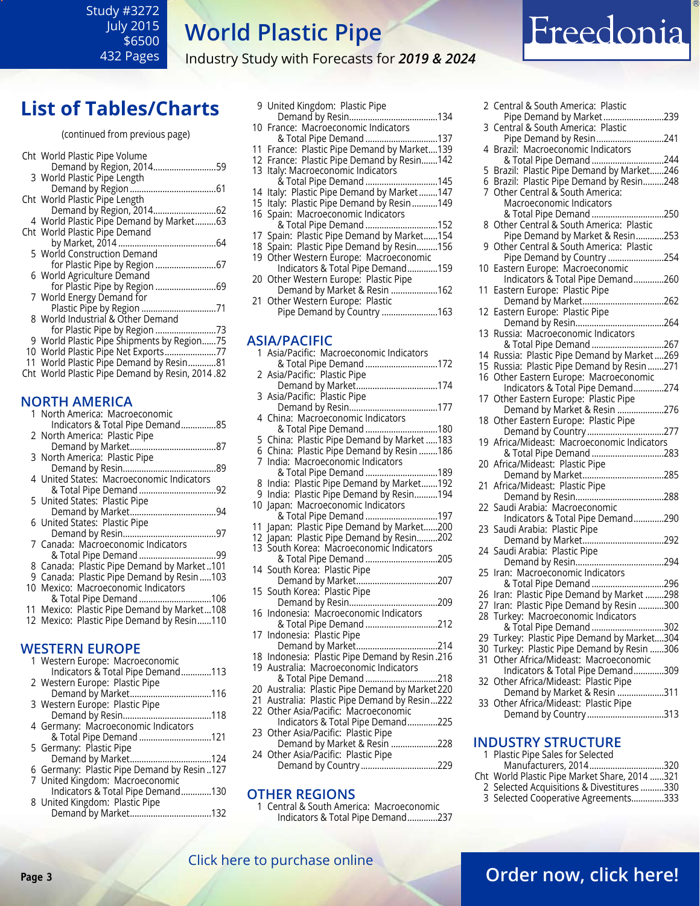<span id="page-2-0"></span>Study #3272 July 2015 \$6500 432 Pages

## **World Plastic Pipe**

Industry Study with Forecasts for *2019 & 2024*

## Freedonia

## **List of Tables/Charts**

#### (continued from previous page)

| Cht World Plastic Pipe Volume                   |
|-------------------------------------------------|
| Demand by Region, 201459                        |
| 3 World Plastic Pipe Length                     |
|                                                 |
| Cht World Plastic Pipe Length                   |
| Demand by Region, 201462                        |
| 4 World Plastic Pipe Demand by Market63         |
| Cht World Plastic Pipe Demand                   |
|                                                 |
| 5 World Construction Demand                     |
|                                                 |
| 6 World Agriculture Demand                      |
|                                                 |
| 7 World Energy Demand for                       |
| Plastic Pipe by Region 71                       |
| 8 World Industrial & Other Demand               |
| for Plastic Pipe by Region 73                   |
| 9 World Plastic Pipe Shipments by Region75      |
|                                                 |
| 11 World Plastic Pipe Demand by Resin81         |
| Cht World Plastic Pipe Demand by Resin, 2014.82 |

#### **NORTH AMERICA**

| 1  North America:  Macroeconomic                               |
|----------------------------------------------------------------|
| Indicators & Total Pipe Demand85                               |
| 2 North America: Plastic Pipe                                  |
|                                                                |
| 3 North America: Plastic Pipe                                  |
| 4 United States: Macroeconomic Indicators                      |
|                                                                |
| 5 United States: Plastic Pipe                                  |
|                                                                |
| 6 United States: Plastic Pipe                                  |
|                                                                |
| 7 Canada: Macroeconomic Indicators                             |
|                                                                |
| 8 Canada: Plastic Pipe Demand by Market101                     |
| 9 Canada: Plastic Pipe Demand by Resin103                      |
| 10 Mexico: Macroeconomic Indicators<br>& Total Pipe Demand 106 |
| 11 Mexico: Plastic Pipe Demand by Market108                    |
| 12 Mexico: Plastic Pipe Demand by Resin110                     |
|                                                                |
|                                                                |
| <b>WESTERN EUROPE</b>                                          |
| 1 Western Europe: Macroeconomic                                |

| Indicators & Total Pipe Demand113          |  |
|--------------------------------------------|--|
| 2 Western Europe: Plastic Pipe             |  |
|                                            |  |
| 3 Western Europe: Plastic Pipe             |  |
|                                            |  |
| 4 Germany: Macroeconomic Indicators        |  |
| & Total Pipe Demand 121                    |  |
| 5 Germany: Plastic Pipe                    |  |
|                                            |  |
| 6 Germany: Plastic Pipe Demand by Resin127 |  |
| 7 United Kingdom: Macroeconomic            |  |
| Indicators & Total Pipe Demand130          |  |
| 8 United Kingdom: Plastic Pipe             |  |
|                                            |  |

| 9 United Kingdom: Plastic Pipe              |
|---------------------------------------------|
|                                             |
| 10 France: Macroeconomic Indicators         |
| & Total Pipe Demand 137                     |
| 11 France: Plastic Pipe Demand by Market139 |
|                                             |
| 12 France: Plastic Pipe Demand by Resin142  |
| 13 Italy: Macroeconomic Indicators          |
| & Total Pipe Demand 145                     |
| 14 Italy: Plastic Pipe Demand by Market147  |
| 15 Italy: Plastic Pipe Demand by Resin 149  |
| 16 Spain: Macroeconomic Indicators          |
|                                             |
| & Total Pipe Demand 152                     |
| 17 Spain: Plastic Pipe Demand by Market154  |
| 18 Spain: Plastic Pipe Demand by Resin156   |
| 19 Other Western Europe: Macroeconomic      |
| Indicators & Total Pipe Demand159           |
| 20 Other Western Europe: Plastic Pipe       |
|                                             |
| Demand by Market & Resin 162                |
| 21 Other Western Europe: Plastic            |
| Pipe Demand by Country 163                  |
|                                             |
|                                             |
| <b>ASIA/PACIFIC</b>                         |
|                                             |

#### 1 Asia/Pacific: Macroeconomic Indicators & Total Pipe Demand ...............................172 2 Asia/Pacific: Plastic Pipe Demand by Market...................................174 3 Asia/Pacific: Plastic Pipe Demand by Resin......................................177 4 China: Macroeconomic Indicators & Total Pipe Demand ...............................180 5 China: Plastic Pipe Demand by Market .....183 6 China: Plastic Pipe Demand by Resin ........186 7 India: Macroeconomic Indicators & Total Pipe Demand ...............................189 8 India: Plastic Pipe Demand by Market.......192 9 India: Plastic Pipe Demand by Resin..........194 10 Japan: Macroeconomic Indicators & Total Pipe Demand ...............................197 11 Japan: Plastic Pipe Demand by Market......200 12 Japan: Plastic Pipe Demand by Resin.........202 13 South Korea: Macroeconomic Indicators & Total Pipe Demand ...............................205 14 South Korea: Plastic Pipe Demand by Market...................................207 15 South Korea: Plastic Pipe Demand by Resin......................................209 16 Indonesia: Macroeconomic Indicators & Total Pipe Demand ...............................212 17 Indonesia: Plastic Pipe Demand by Market...................................214 18 Indonesia: Plastic Pipe Demand by Resin .216 19 Australia: Macroeconomic Indicators & Total Pipe Demand ...............................218 20 Australia: Plastic Pipe Demand by Market 220 21 Australia: Plastic Pipe Demand by Resin...222 22 Other Asia/Pacific: Macroeconomic Indicators & Total Pipe Demand.............225 23 Other Asia/Pacific: Plastic Pipe Demand by Market & Resin ....................228 24 Other Asia/Pacific: Plastic Pipe Demand by Country .................................229 **OTHER REGIONS**

1 Central & South America: Macroeconomic Indicators & Total Pipe Demand.............237

| 2  | Central & South America: Plastic                                         |  |
|----|--------------------------------------------------------------------------|--|
|    | Pipe Demand by Market239                                                 |  |
| 3  | Central & South America: Plastic                                         |  |
|    | Pipe Demand by Resin241                                                  |  |
| 4  | Brazil: Macroeconomic Indicators                                         |  |
|    | & Total Pipe Demand 244                                                  |  |
| 5  | Brazil: Plastic Pipe Demand by Market246                                 |  |
|    | 6 Brazil: Plastic Pipe Demand by Resin248                                |  |
| 7  | Other Central & South America:                                           |  |
|    | Macroeconomic Indicators                                                 |  |
|    |                                                                          |  |
| 8  | Other Central & South America: Plastic                                   |  |
|    | Pipe Demand by Market & Resin253                                         |  |
| 9  | Other Central & South America: Plastic                                   |  |
|    | Pipe Demand by Country 254                                               |  |
| 10 | Eastern Europe: Macroeconomic<br>Indicators & Total Pipe Demand260       |  |
| 11 | Eastern Europe: Plastic Pipe                                             |  |
|    | stern Europe:  Plastic Pipe<br>Demand by Market262                       |  |
| 12 | Eastern Europe: Plastic Pipe                                             |  |
|    |                                                                          |  |
| 13 | Russia: Macroeconomic Indicators                                         |  |
|    | & Total Pipe Demand 267                                                  |  |
| 14 | Russia: Plastic Pipe Demand by Market269                                 |  |
| 15 | Russia: Plastic Pipe Demand by Resin 271                                 |  |
| 16 | Other Eastern Europe: Macroeconomic                                      |  |
|    | Indicators & Total Pipe Demand274                                        |  |
| 17 | Other Eastern Europe: Plastic Pipe                                       |  |
|    | Demand by Market & Resin 276                                             |  |
| 18 | Other Eastern Europe: Plastic Pipe                                       |  |
|    |                                                                          |  |
| 19 | Africa/Mideast: Macroeconomic Indicators                                 |  |
|    | & Total Pipe Demand 283                                                  |  |
| 20 | Africa/Mideast: Plastic Pipe                                             |  |
|    |                                                                          |  |
| 21 |                                                                          |  |
|    |                                                                          |  |
| 22 | Saudi Arabia: Macroeconomic                                              |  |
|    | Indicators & Total Pipe Demand290                                        |  |
| 23 | Saudi Arabia: Plastic Pipe                                               |  |
|    |                                                                          |  |
|    |                                                                          |  |
|    |                                                                          |  |
| 25 | Iran: Macroeconomic Indicators                                           |  |
|    | & Total Pipe Demand 296                                                  |  |
| 26 | Iran: Plastic Pipe Demand by Market 298                                  |  |
|    | 27 Iran: Plastic Pipe Demand by Resin 300                                |  |
| 28 | Turkey: Macroeconomic Indicators                                         |  |
|    |                                                                          |  |
| 29 |                                                                          |  |
| 30 | Turkey: Plastic Pipe Demand by Resin 306                                 |  |
| 31 | Other Africa/Mideast: Macroeconomic<br>Indicators & Total Pipe Demand309 |  |
|    | 32 Other Africa/Mideast: Plastic Pipe                                    |  |
|    | Demand by Market & Resin 311                                             |  |
| 33 | Other Africa/Mideast: Plastic Pipe                                       |  |
|    | Demand by Country313                                                     |  |
|    |                                                                          |  |

#### **INDUSTRY STRUCTURE**

| 1 Plastic Pipe Sales for Selected            |  |
|----------------------------------------------|--|
| Manufacturers, 2014320                       |  |
| Cht World Plastic Pipe Market Share, 2014321 |  |
| 2 Selected Acquisitions & Divestitures 330   |  |

3 Selected Cooperative Agreements..............333

#### [Click here to purchase online](http://www.freedoniagroup.com/DocumentDetails.aspx?Referrerid=FM-Bro&StudyID=3272)

## **Page 3 [Order now, click here!](#page-6-0)**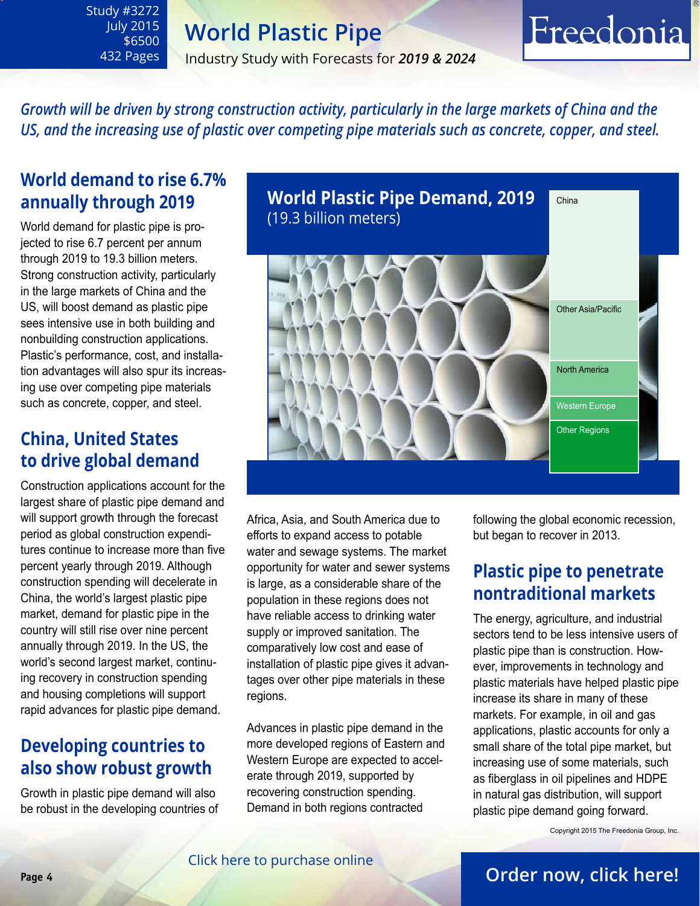Industry Study with Forecasts for *2019 & 2024*

## Freedonia

*Growth will be driven by strong construction activity, particularly in the large markets of China and the US, and the increasing use of plastic over competing pipe materials such as concrete, copper, and steel.*

## **World demand to rise 6.7% annually through 2019**

<span id="page-3-0"></span>Study #3272 July 2015 \$6500 432 Pages

World demand for plastic pipe is projected to rise 6.7 percent per annum through 2019 to 19.3 billion meters. Strong construction activity, particularly in the large markets of China and the US, will boost demand as plastic pipe sees intensive use in both building and nonbuilding construction applications. Plastic's performance, cost, and installation advantages will also spur its increasing use over competing pipe materials such as concrete, copper, and steel.

## **China, United States to drive global demand**

Construction applications account for the largest share of plastic pipe demand and will support growth through the forecast period as global construction expenditures continue to increase more than five percent yearly through 2019. Although construction spending will decelerate in China, the world's largest plastic pipe market, demand for plastic pipe in the country will still rise over nine percent annually through 2019. In the US, the world's second largest market, continuing recovery in construction spending and housing completions will support rapid advances for plastic pipe demand.

## **Developing countries to also show robust growth**

Growth in plastic pipe demand will also be robust in the developing countries of



Africa, Asia, and South America due to efforts to expand access to potable water and sewage systems. The market opportunity for water and sewer systems is large, as a considerable share of the population in these regions does not have reliable access to drinking water supply or improved sanitation. The comparatively low cost and ease of installation of plastic pipe gives it advantages over other pipe materials in these regions.

Advances in plastic pipe demand in the more developed regions of Eastern and Western Europe are expected to accelerate through 2019, supported by recovering construction spending. Demand in both regions contracted

following the global economic recession, but began to recover in 2013.

## **Plastic pipe to penetrate nontraditional markets**

The energy, agriculture, and industrial sectors tend to be less intensive users of plastic pipe than is construction. However, improvements in technology and plastic materials have helped plastic pipe increase its share in many of these markets. For example, in oil and gas applications, plastic accounts for only a small share of the total pipe market, but increasing use of some materials, such as fiberglass in oil pipelines and HDPE in natural gas distribution, will support plastic pipe demand going forward.

Copyright 2015 The Freedonia Group, Inc.

#### [Click here to purchase online](http://www.freedoniagroup.com/DocumentDetails.aspx?Referrerid=FM-Bro&StudyID=3272)

## **Page 4 [Order now, click here!](#page-6-0)**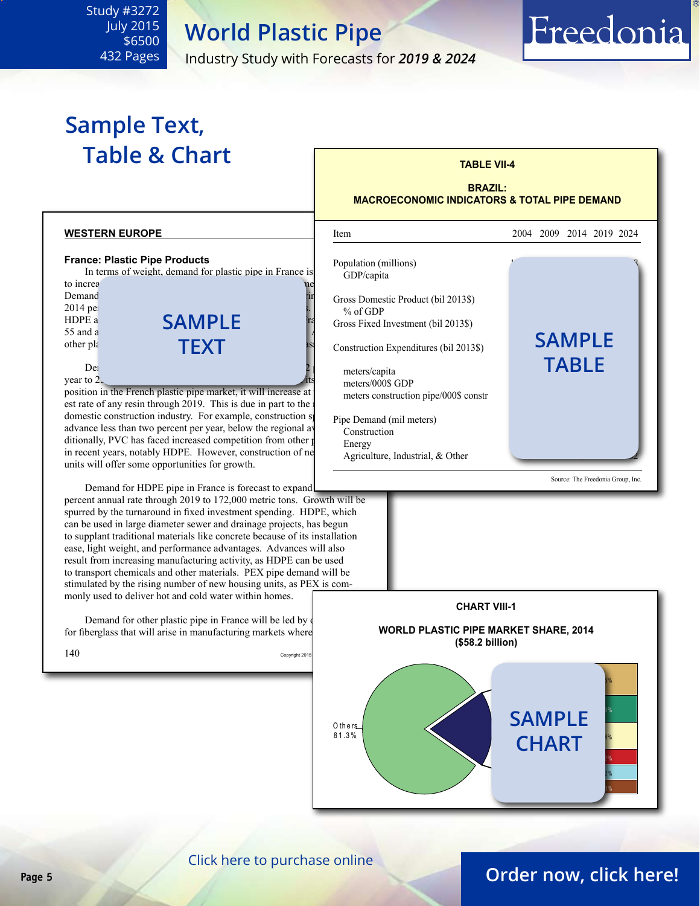Industry Study with Forecasts for *2019 & 2024*

## Freedonia

## <span id="page-4-0"></span>**Sample Text,**  Table & Chart **TABLE VII-4**

## **BRAZIL: MACROECONOMIC INDICATORS & TOTAL PIPE DEMAND**



[Click here to purchase online](http://www.freedoniagroup.com/DocumentDetails.aspx?Referrerid=FM-Bro&StudyID=3272)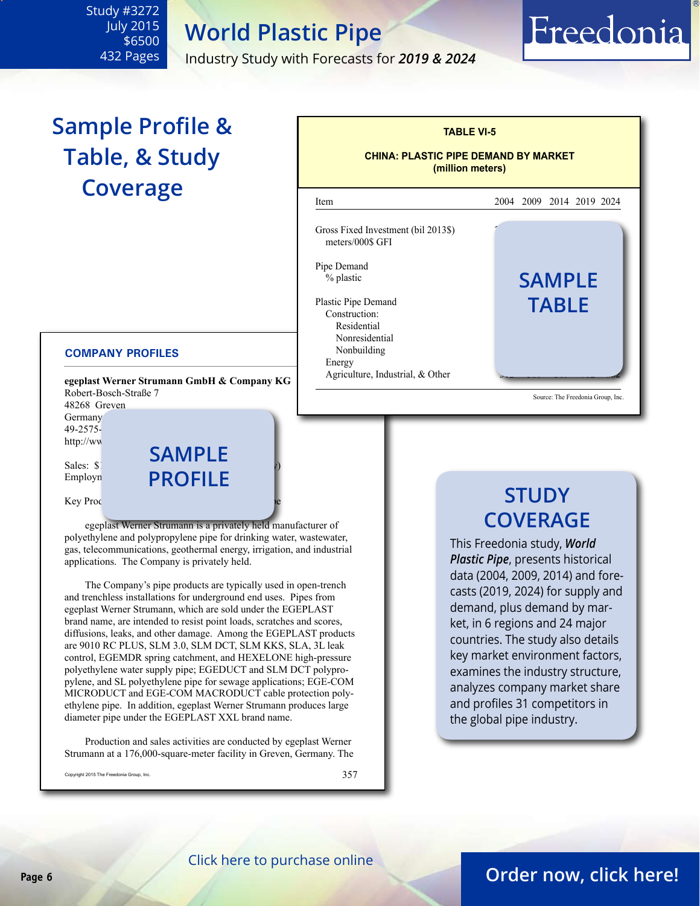Industry Study with Forecasts for *2019 & 2024*

## Freedonia

## **Sample Profile & Table, & Study Coverage**

<span id="page-5-0"></span>Study #3272 July 2015 \$6500 432 Pages

#### **COMPANY PROFILES**

**egeplast Werner Strumann GmbH & Company KG** Robert-Bosch-Straße 7 48268 Greven

Germany 49-2575http://ww

Sales: \$1<br>Employn

Employn **PROFILE sample**

Key Proc

egeplast Werner Strumann is a privately held manufacturer of polyethylene and polypropylene pipe for drinking water, wastewater, gas, telecommunications, geothermal energy, irrigation, and industrial applications. The Company is privately held.

 The Company's pipe products are typically used in open-trench and trenchless installations for underground end uses. Pipes from egeplast Werner Strumann, which are sold under the EGEPLAST brand name, are intended to resist point loads, scratches and scores, diffusions, leaks, and other damage. Among the EGEPLAST products are 9010 RC PLUS, SLM 3.0, SLM DCT, SLM KKS, SLA, 3L leak control, EGEMDR spring catchment, and HEXELONE high-pressure polyethylene water supply pipe; EGEDUCT and SLM DCT polypropylene, and SL polyethylene pipe for sewage applications; EGE-COM MICRODUCT and EGE-COM MACRODUCT cable protection polyethylene pipe. In addition, egeplast Werner Strumann produces large diameter pipe under the EGEPLAST XXL brand name.

Production and sales activities are conducted by egeplast Werner Strumann at a 176,000-square-meter facility in Greven, Germany. The

Copyright 2015 The Freedonia Group, Inc.  $357$ 



## **STUDY COVERAGE**

This Freedonia study, *World Plastic Pipe*, presents historical data (2004, 2009, 2014) and forecasts (2019, 2024) for supply and demand, plus demand by market, in 6 regions and 24 major countries. The study also details key market environment factors, examines the industry structure, analyzes company market share and profiles 31 competitors in the global pipe industry.

## **Page 6 [Order now, click here!](#page-6-0)**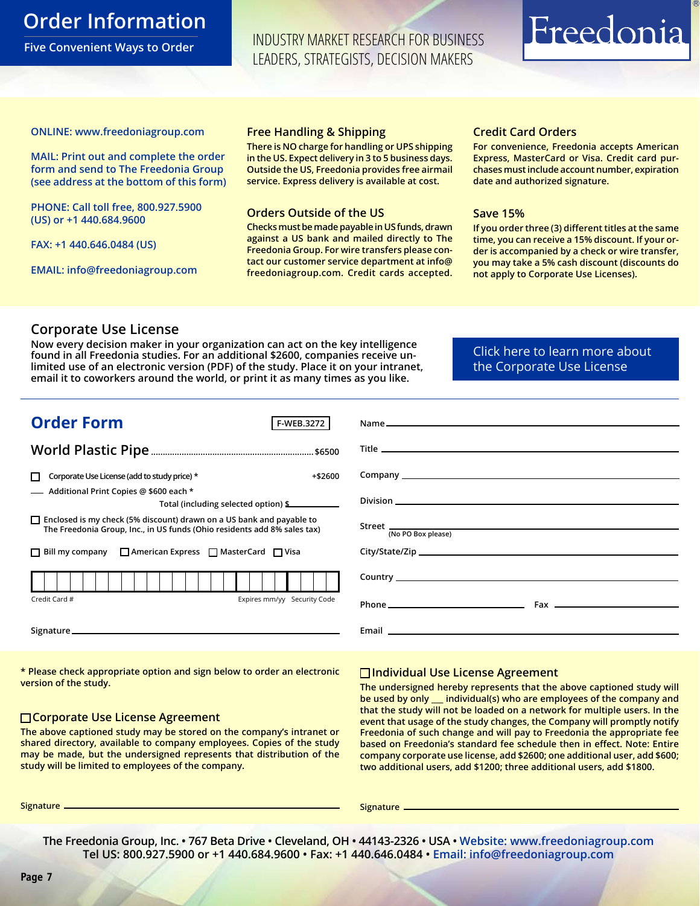## <span id="page-6-0"></span>**Order Information**

**Five Convenient Ways to Order**

INDUSTRY MARKET RESEARCH FOR BUSINESS LEADERS, STRATEGISTS, DECISION MAKERS

## Freedonia

#### **ONLINE: [www.freedoniagroup.com](http://www.freedoniagroup.com/DocumentDetails.aspx?Referrerid=FM-Bro&StudyID=3272)**

**MAIL: Print out and complete the order form and send to The Freedonia Group (see address at the bottom of this form)**

**PHONE: Call toll free, 800.927.5900 (US) or +1 440.684.9600**

**FAX: +1 440.646.0484 (US)**

**EMAIL: [info@freedoniagroup.com](mailto:info@freedoniagroup.com)**

#### **Free Handling & Shipping**

**There is NO charge for handling or UPS shipping in the US. Expect delivery in 3 to 5 business days. Outside the US, Freedonia provides free airmail service. Express delivery is available at cost.**

#### **Orders Outside of the US**

**Checks must be made payable in US funds, drawn against a US bank and mailed directly to The Freedonia Group. For wire transfers please contact our customer service department at info@ freedoniagroup.com. Credit cards accepted.**

#### **Credit Card Orders**

**For convenience, Freedonia accepts American Express, MasterCard or Visa. Credit card purchases must include account number, expiration date and authorized signature.**

#### **Save 15%**

**If you order three (3) different titles at the same time, you can receive a 15% discount. If your order is accompanied by a check or wire transfer, you may take a 5% cash discount (discounts do not apply to Corporate Use Licenses).**

#### **Corporate Use License**

**Now every decision maker in your organization can act on the key intelligence found in all Freedonia studies. For an additional \$2600, companies receive unlimited use of an electronic version (PDF) of the study. Place it on your intranet, email it to coworkers around the world, or print it as many times as you like.** 

[Click here to learn more about](http://www.freedoniagroup.com/pdf/FreedoniaCULBro.pdf)  [the Corporate Use License](http://www.freedoniagroup.com/pdf/FreedoniaCULBro.pdf)

| (No PO Box please)                                                                                                                                                                                                                   |
|--------------------------------------------------------------------------------------------------------------------------------------------------------------------------------------------------------------------------------------|
|                                                                                                                                                                                                                                      |
|                                                                                                                                                                                                                                      |
|                                                                                                                                                                                                                                      |
| Email <b>Executive Contract Contract Contract Contract Contract Contract Contract Contract Contract Contract Contract Contract Contract Contract Contract Contract Contract Contract Contract Contract Contract Contract Contrac</b> |
|                                                                                                                                                                                                                                      |

**\* Please check appropriate option and sign below to order an electronic version of the study.**

#### **Corporate Use License Agreement**

**The above captioned study may be stored on the company's intranet or shared directory, available to company employees. Copies of the study may be made, but the undersigned represents that distribution of the study will be limited to employees of the company.**

#### **Individual Use License Agreement**

**The undersigned hereby represents that the above captioned study will be used by only \_\_\_ individual(s) who are employees of the company and that the study will not be loaded on a network for multiple users. In the event that usage of the study changes, the Company will promptly notify Freedonia of such change and will pay to Freedonia the appropriate fee based on Freedonia's standard fee schedule then in effect. Note: Entire company corporate use license, add \$2600; one additional user, add \$600; two additional users, add \$1200; three additional users, add \$1800.**

**Signature Signature**

**The Freedonia Group, Inc. • 767 Beta Drive • Cleveland, OH • 44143-2326 • USA • [Website: www.freedoniagroup.com](http://www.freedoniagroup.com/Home.aspx?ReferrerId=FM-Bro) Tel US: 800.927.5900 or +1 440.684.9600 • Fax: +1 440.646.0484 • [Email: info@freedoniagroup.com](mailto:info@freedoniagroup.com)**